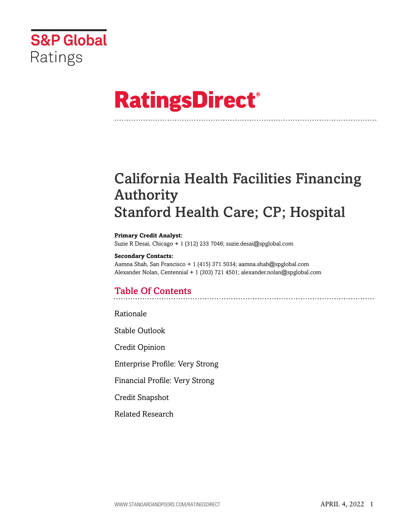

# **RatingsDirect®**

## California Health Facilities Financing Authority Stanford Health Care; CP; Hospital

#### **Primary Credit Analyst:**

Suzie R Desai, Chicago + 1 (312) 233 7046; suzie.desai@spglobal.com

#### **Secondary Contacts:**

Aamna Shah, San Francisco + 1 (415) 371 5034; aamna.shah@spglobal.com Alexander Nolan, Centennial + 1 (303) 721 4501; alexander.nolan@spglobal.com

## Table Of Contents

Rationale

Stable Outlook

Credit Opinion

Enterprise Profile: Very Strong

Financial Profile: Very Strong

Credit Snapshot

Related Research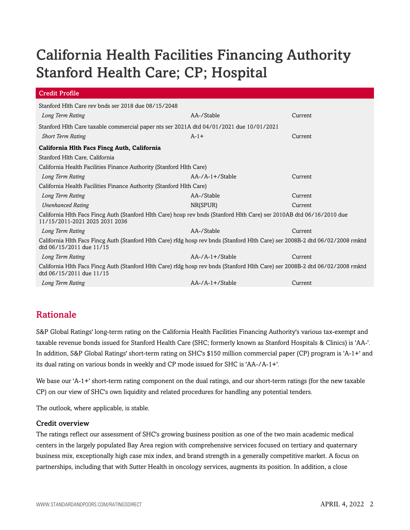## California Health Facilities Financing Authority Stanford Health Care; CP; Hospital

| <b>Credit Profile</b>                                                                                                                                     |                       |         |  |  |  |
|-----------------------------------------------------------------------------------------------------------------------------------------------------------|-----------------------|---------|--|--|--|
| Stanford Hlth Care rev bnds ser 2018 due 08/15/2048                                                                                                       |                       |         |  |  |  |
| Long Term Rating                                                                                                                                          | AA-/Stable<br>Current |         |  |  |  |
| Stanford Hlth Care taxable commercial paper nts ser 2021A dtd 04/01/2021 due 10/01/2021                                                                   |                       |         |  |  |  |
| <b>Short Term Rating</b>                                                                                                                                  | $A-1+$                | Current |  |  |  |
| California Hlth Facs Fincg Auth, California                                                                                                               |                       |         |  |  |  |
| Stanford Hlth Care, California                                                                                                                            |                       |         |  |  |  |
| California Health Facilities Finance Authority (Stanford Hlth Care)                                                                                       |                       |         |  |  |  |
| Long Term Rating                                                                                                                                          | $AA$ -/A-1+/Stable    | Current |  |  |  |
| California Health Facilities Finance Authority (Stanford Hlth Care)                                                                                       |                       |         |  |  |  |
| Long Term Rating                                                                                                                                          | AA-/Stable<br>Current |         |  |  |  |
| <b>Unenhanced Rating</b>                                                                                                                                  | NR(SPUR)              | Current |  |  |  |
| California Hlth Facs Fincg Auth (Stanford Hlth Care) hosp rev bnds (Stanford Hlth Care) ser 2010AB dtd 06/16/2010 due<br>11/15/2011-2021 2025 2031 2036   |                       |         |  |  |  |
| Long Term Rating                                                                                                                                          | AA-/Stable            | Current |  |  |  |
| California Hlth Facs Fincg Auth (Stanford Hlth Care) rfdg hosp rev bnds (Stanford Hlth Care) ser 2008B-2 dtd 06/02/2008 rmktd<br>dtd 06/15/2011 due 11/15 |                       |         |  |  |  |
| Long Term Rating                                                                                                                                          | $AA$ -/A-1+/Stable    | Current |  |  |  |
| California Hlth Facs Fincg Auth (Stanford Hlth Care) rfdg hosp rev bnds (Stanford Hlth Care) ser 2008B-2 dtd 06/02/2008 rmktd<br>dtd 06/15/2011 due 11/15 |                       |         |  |  |  |
| Long Term Rating                                                                                                                                          | $AA$ -/A-1+/Stable    | Current |  |  |  |

## Rationale

S&P Global Ratings' long-term rating on the California Health Facilities Financing Authority's various tax-exempt and taxable revenue bonds issued for Stanford Health Care (SHC; formerly known as Stanford Hospitals & Clinics) is 'AA-'. In addition, S&P Global Ratings' short-term rating on SHC's \$150 million commercial paper (CP) program is 'A-1+' and its dual rating on various bonds in weekly and CP mode issued for SHC is 'AA-/A-1+'.

We base our 'A-1+' short-term rating component on the dual ratings, and our short-term ratings (for the new taxable CP) on our view of SHC's own liquidity and related procedures for handling any potential tenders.

The outlook, where applicable, is stable.

## Credit overview

The ratings reflect our assessment of SHC's growing business position as one of the two main academic medical centers in the largely populated Bay Area region with comprehensive services focused on tertiary and quaternary business mix, exceptionally high case mix index, and brand strength in a generally competitive market. A focus on partnerships, including that with Sutter Health in oncology services, augments its position. In addition, a close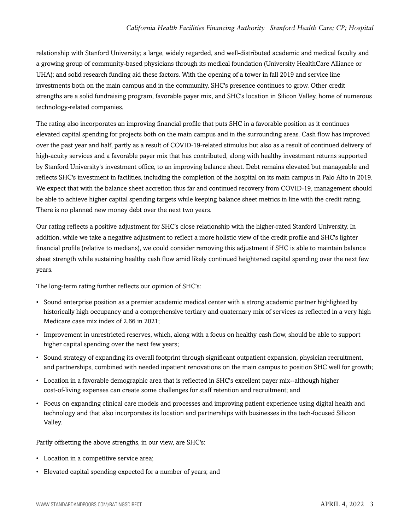## *California Health Facilities Financing Authority Stanford Health Care; CP; Hospital*

relationship with Stanford University; a large, widely regarded, and well-distributed academic and medical faculty and a growing group of community-based physicians through its medical foundation (University HealthCare Alliance or UHA); and solid research funding aid these factors. With the opening of a tower in fall 2019 and service line investments both on the main campus and in the community, SHC's presence continues to grow. Other credit strengths are a solid fundraising program, favorable payer mix, and SHC's location in Silicon Valley, home of numerous technology-related companies.

The rating also incorporates an improving financial profile that puts SHC in a favorable position as it continues elevated capital spending for projects both on the main campus and in the surrounding areas. Cash flow has improved over the past year and half, partly as a result of COVID-19-related stimulus but also as a result of continued delivery of high-acuity services and a favorable payer mix that has contributed, along with healthy investment returns supported by Stanford University's investment office, to an improving balance sheet. Debt remains elevated but manageable and reflects SHC's investment in facilities, including the completion of the hospital on its main campus in Palo Alto in 2019. We expect that with the balance sheet accretion thus far and continued recovery from COVID-19, management should be able to achieve higher capital spending targets while keeping balance sheet metrics in line with the credit rating. There is no planned new money debt over the next two years.

Our rating reflects a positive adjustment for SHC's close relationship with the higher-rated Stanford University. In addition, while we take a negative adjustment to reflect a more holistic view of the credit profile and SHC's lighter financial profile (relative to medians), we could consider removing this adjustment if SHC is able to maintain balance sheet strength while sustaining healthy cash flow amid likely continued heightened capital spending over the next few years.

The long-term rating further reflects our opinion of SHC's:

- Sound enterprise position as a premier academic medical center with a strong academic partner highlighted by historically high occupancy and a comprehensive tertiary and quaternary mix of services as reflected in a very high Medicare case mix index of 2.66 in 2021;
- Improvement in unrestricted reserves, which, along with a focus on healthy cash flow, should be able to support higher capital spending over the next few years;
- Sound strategy of expanding its overall footprint through significant outpatient expansion, physician recruitment, and partnerships, combined with needed inpatient renovations on the main campus to position SHC well for growth;
- Location in a favorable demographic area that is reflected in SHC's excellent payer mix--although higher cost-of-living expenses can create some challenges for staff retention and recruitment; and
- Focus on expanding clinical care models and processes and improving patient experience using digital health and technology and that also incorporates its location and partnerships with businesses in the tech-focused Silicon Valley.

Partly offsetting the above strengths, in our view, are SHC's:

- Location in a competitive service area;
- Elevated capital spending expected for a number of years; and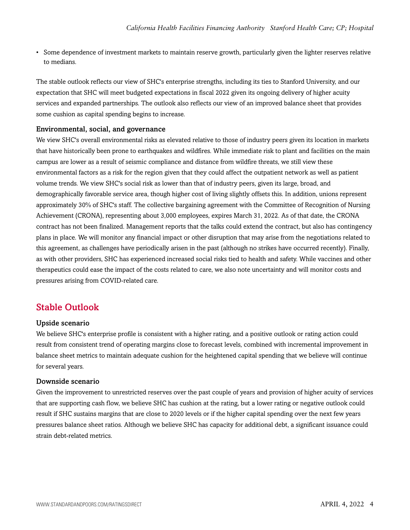• Some dependence of investment markets to maintain reserve growth, particularly given the lighter reserves relative to medians.

The stable outlook reflects our view of SHC's enterprise strengths, including its ties to Stanford University, and our expectation that SHC will meet budgeted expectations in fiscal 2022 given its ongoing delivery of higher acuity services and expanded partnerships. The outlook also reflects our view of an improved balance sheet that provides some cushion as capital spending begins to increase.

## Environmental, social, and governance

We view SHC's overall environmental risks as elevated relative to those of industry peers given its location in markets that have historically been prone to earthquakes and wildfires. While immediate risk to plant and facilities on the main campus are lower as a result of seismic compliance and distance from wildfire threats, we still view these environmental factors as a risk for the region given that they could affect the outpatient network as well as patient volume trends. We view SHC's social risk as lower than that of industry peers, given its large, broad, and demographically favorable service area, though higher cost of living slightly offsets this. In addition, unions represent approximately 30% of SHC's staff. The collective bargaining agreement with the Committee of Recognition of Nursing Achievement (CRONA), representing about 3,000 employees, expires March 31, 2022. As of that date, the CRONA contract has not been finalized. Management reports that the talks could extend the contract, but also has contingency plans in place. We will monitor any financial impact or other disruption that may arise from the negotiations related to this agreement, as challenges have periodically arisen in the past (although no strikes have occurred recently). Finally, as with other providers, SHC has experienced increased social risks tied to health and safety. While vaccines and other therapeutics could ease the impact of the costs related to care, we also note uncertainty and will monitor costs and pressures arising from COVID-related care.

## Stable Outlook

## Upside scenario

We believe SHC's enterprise profile is consistent with a higher rating, and a positive outlook or rating action could result from consistent trend of operating margins close to forecast levels, combined with incremental improvement in balance sheet metrics to maintain adequate cushion for the heightened capital spending that we believe will continue for several years.

## Downside scenario

Given the improvement to unrestricted reserves over the past couple of years and provision of higher acuity of services that are supporting cash flow, we believe SHC has cushion at the rating, but a lower rating or negative outlook could result if SHC sustains margins that are close to 2020 levels or if the higher capital spending over the next few years pressures balance sheet ratios. Although we believe SHC has capacity for additional debt, a significant issuance could strain debt-related metrics.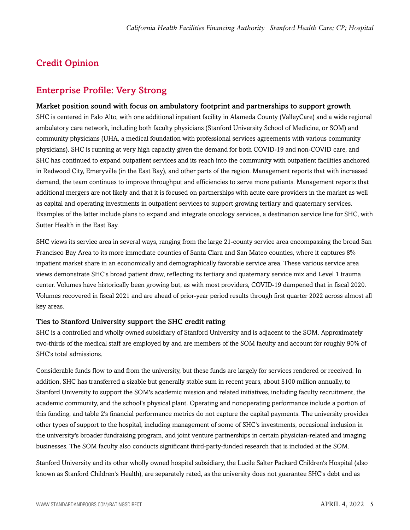## Credit Opinion

## Enterprise Profile: Very Strong

Market position sound with focus on ambulatory footprint and partnerships to support growth SHC is centered in Palo Alto, with one additional inpatient facility in Alameda County (ValleyCare) and a wide regional ambulatory care network, including both faculty physicians (Stanford University School of Medicine, or SOM) and community physicians (UHA, a medical foundation with professional services agreements with various community physicians). SHC is running at very high capacity given the demand for both COVID-19 and non-COVID care, and SHC has continued to expand outpatient services and its reach into the community with outpatient facilities anchored in Redwood City, Emeryville (in the East Bay), and other parts of the region. Management reports that with increased demand, the team continues to improve throughput and efficiencies to serve more patients. Management reports that additional mergers are not likely and that it is focused on partnerships with acute care providers in the market as well as capital and operating investments in outpatient services to support growing tertiary and quaternary services. Examples of the latter include plans to expand and integrate oncology services, a destination service line for SHC, with Sutter Health in the East Bay.

SHC views its service area in several ways, ranging from the large 21-county service area encompassing the broad San Francisco Bay Area to its more immediate counties of Santa Clara and San Mateo counties, where it captures 8% inpatient market share in an economically and demographically favorable service area. These various service area views demonstrate SHC's broad patient draw, reflecting its tertiary and quaternary service mix and Level 1 trauma center. Volumes have historically been growing but, as with most providers, COVID-19 dampened that in fiscal 2020. Volumes recovered in fiscal 2021 and are ahead of prior-year period results through first quarter 2022 across almost all key areas.

## Ties to Stanford University support the SHC credit rating

SHC is a controlled and wholly owned subsidiary of Stanford University and is adjacent to the SOM. Approximately two-thirds of the medical staff are employed by and are members of the SOM faculty and account for roughly 90% of SHC's total admissions.

Considerable funds flow to and from the university, but these funds are largely for services rendered or received. In addition, SHC has transferred a sizable but generally stable sum in recent years, about \$100 million annually, to Stanford University to support the SOM's academic mission and related initiatives, including faculty recruitment, the academic community, and the school's physical plant. Operating and nonoperating performance include a portion of this funding, and table 2's financial performance metrics do not capture the capital payments. The university provides other types of support to the hospital, including management of some of SHC's investments, occasional inclusion in the university's broader fundraising program, and joint venture partnerships in certain physician-related and imaging businesses. The SOM faculty also conducts significant third-party-funded research that is included at the SOM.

Stanford University and its other wholly owned hospital subsidiary, the Lucile Salter Packard Children's Hospital (also known as Stanford Children's Health), are separately rated, as the university does not guarantee SHC's debt and as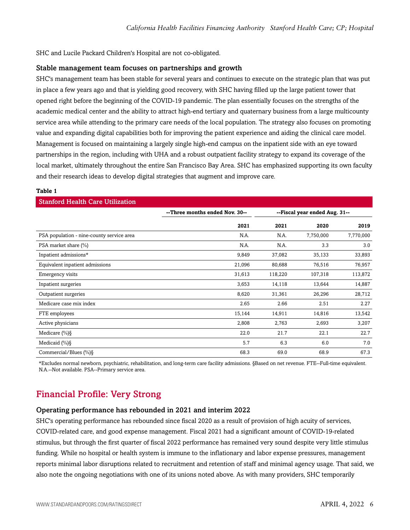SHC and Lucile Packard Children's Hospital are not co-obligated.

### Stable management team focuses on partnerships and growth

SHC's management team has been stable for several years and continues to execute on the strategic plan that was put in place a few years ago and that is yielding good recovery, with SHC having filled up the large patient tower that opened right before the beginning of the COVID-19 pandemic. The plan essentially focuses on the strengths of the academic medical center and the ability to attract high-end tertiary and quaternary business from a large multicounty service area while attending to the primary care needs of the local population. The strategy also focuses on promoting value and expanding digital capabilities both for improving the patient experience and aiding the clinical care model. Management is focused on maintaining a largely single high-end campus on the inpatient side with an eye toward partnerships in the region, including with UHA and a robust outpatient facility strategy to expand its coverage of the local market, ultimately throughout the entire San Francisco Bay Area. SHC has emphasized supporting its own faculty and their research ideas to develop digital strategies that augment and improve care.

#### **Table 1**

| <b>Stanford Health Care Utilization</b> |         |                               |           |  |  |  |  |
|-----------------------------------------|---------|-------------------------------|-----------|--|--|--|--|
| --Three months ended Nov. 30--          |         | --Fiscal year ended Aug. 31-- |           |  |  |  |  |
| 2021                                    | 2021    | 2020                          | 2019      |  |  |  |  |
| N.A.                                    | N.A.    | 7,750,000                     | 7,770,000 |  |  |  |  |
| N.A.                                    | N.A.    | 3.3                           | 3.0       |  |  |  |  |
| 9,849                                   | 37,082  | 35,133                        | 33,893    |  |  |  |  |
| 21,096                                  | 80,688  | 76,516                        | 76,957    |  |  |  |  |
| 31,613                                  | 118,220 | 107,318                       | 113,872   |  |  |  |  |
| 3,653                                   | 14,118  | 13,644                        | 14,887    |  |  |  |  |
| 8,620                                   | 31,361  | 26,296                        | 28,712    |  |  |  |  |
| 2.65                                    | 2.66    | 2.51                          | 2.27      |  |  |  |  |
| 15,144                                  | 14,911  | 14,816                        | 13,542    |  |  |  |  |
| 2,808                                   | 2,763   | 2,693                         | 3,207     |  |  |  |  |
| 22.0                                    | 21.7    | 22.1                          | 22.7      |  |  |  |  |
| 5.7                                     | 6.3     | 6.0                           | 7.0       |  |  |  |  |
| 68.3                                    | 69.0    | 68.9                          | 67.3      |  |  |  |  |
|                                         |         |                               |           |  |  |  |  |

\*Excludes normal newborn, psychiatric, rehabilitation, and long-term care facility admissions. §Based on net revenue. FTE--Full-time equivalent. N.A.--Not available. PSA--Primary service area.

## Financial Profile: Very Strong

#### Operating performance has rebounded in 2021 and interim 2022

SHC's operating performance has rebounded since fiscal 2020 as a result of provision of high acuity of services, COVID-related care, and good expense management. Fiscal 2021 had a significant amount of COVID-19-related stimulus, but through the first quarter of fiscal 2022 performance has remained very sound despite very little stimulus funding. While no hospital or health system is immune to the inflationary and labor expense pressures, management reports minimal labor disruptions related to recruitment and retention of staff and minimal agency usage. That said, we also note the ongoing negotiations with one of its unions noted above. As with many providers, SHC temporarily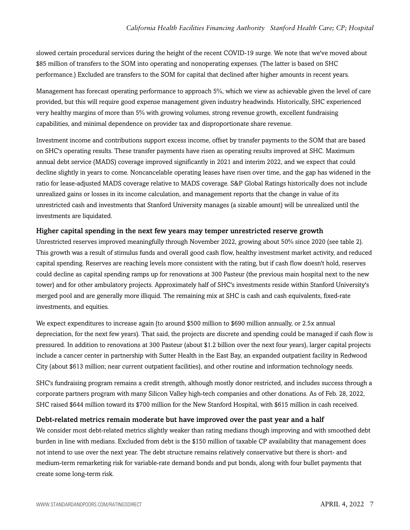slowed certain procedural services during the height of the recent COVID-19 surge. We note that we've moved about \$85 million of transfers to the SOM into operating and nonoperating expenses. (The latter is based on SHC performance.) Excluded are transfers to the SOM for capital that declined after higher amounts in recent years.

Management has forecast operating performance to approach 5%, which we view as achievable given the level of care provided, but this will require good expense management given industry headwinds. Historically, SHC experienced very healthy margins of more than 5% with growing volumes, strong revenue growth, excellent fundraising capabilities, and minimal dependence on provider tax and disproportionate share revenue.

Investment income and contributions support excess income, offset by transfer payments to the SOM that are based on SHC's operating results. These transfer payments have risen as operating results improved at SHC. Maximum annual debt service (MADS) coverage improved significantly in 2021 and interim 2022, and we expect that could decline slightly in years to come. Noncancelable operating leases have risen over time, and the gap has widened in the ratio for lease-adjusted MADS coverage relative to MADS coverage. S&P Global Ratings historically does not include unrealized gains or losses in its income calculation, and management reports that the change in value of its unrestricted cash and investments that Stanford University manages (a sizable amount) will be unrealized until the investments are liquidated.

## Higher capital spending in the next few years may temper unrestricted reserve growth

Unrestricted reserves improved meaningfully through November 2022, growing about 50% since 2020 (see table 2). This growth was a result of stimulus funds and overall good cash flow, healthy investment market activity, and reduced capital spending. Reserves are reaching levels more consistent with the rating, but if cash flow doesn't hold, reserves could decline as capital spending ramps up for renovations at 300 Pasteur (the previous main hospital next to the new tower) and for other ambulatory projects. Approximately half of SHC's investments reside within Stanford University's merged pool and are generally more illiquid. The remaining mix at SHC is cash and cash equivalents, fixed-rate investments, and equities.

We expect expenditures to increase again (to around \$500 million to \$690 million annually, or 2.5x annual depreciation, for the next few years). That said, the projects are discrete and spending could be managed if cash flow is pressured. In addition to renovations at 300 Pasteur (about \$1.2 billion over the next four years), larger capital projects include a cancer center in partnership with Sutter Health in the East Bay, an expanded outpatient facility in Redwood City (about \$613 million; near current outpatient facilities), and other routine and information technology needs.

SHC's fundraising program remains a credit strength, although mostly donor restricted, and includes success through a corporate partners program with many Silicon Valley high-tech companies and other donations. As of Feb. 28, 2022, SHC raised \$644 million toward its \$700 million for the New Stanford Hospital, with \$615 million in cash received.

#### Debt-related metrics remain moderate but have improved over the past year and a half

We consider most debt-related metrics slightly weaker than rating medians though improving and with smoothed debt burden in line with medians. Excluded from debt is the \$150 million of taxable CP availability that management does not intend to use over the next year. The debt structure remains relatively conservative but there is short- and medium-term remarketing risk for variable-rate demand bonds and put bonds, along with four bullet payments that create some long-term risk.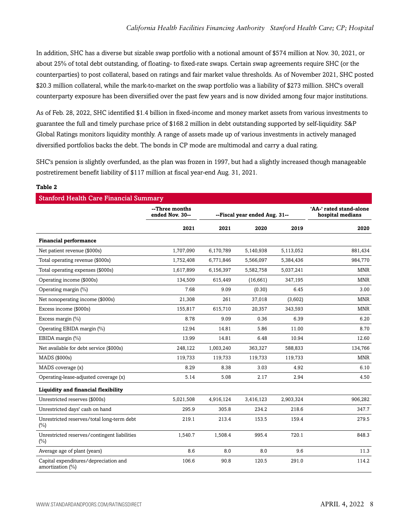In addition, SHC has a diverse but sizable swap portfolio with a notional amount of \$574 million at Nov. 30, 2021, or about 25% of total debt outstanding, of floating- to fixed-rate swaps. Certain swap agreements require SHC (or the counterparties) to post collateral, based on ratings and fair market value thresholds. As of November 2021, SHC posted \$20.3 million collateral, while the mark-to-market on the swap portfolio was a liability of \$273 million. SHC's overall counterparty exposure has been diversified over the past few years and is now divided among four major institutions.

As of Feb. 28, 2022, SHC identified \$1.4 billion in fixed-income and money market assets from various investments to guarantee the full and timely purchase price of \$168.2 million in debt outstanding supported by self-liquidity. S&P Global Ratings monitors liquidity monthly. A range of assets made up of various investments in actively managed diversified portfolios backs the debt. The bonds in CP mode are multimodal and carry a dual rating.

SHC's pension is slightly overfunded, as the plan was frozen in 1997, but had a slightly increased though manageable postretirement benefit liability of \$117 million at fiscal year-end Aug. 31, 2021.

#### **Table 2**

| <b>Stanford Health Care Financial Summary</b>             |                                   |                               |           |                                             |            |
|-----------------------------------------------------------|-----------------------------------|-------------------------------|-----------|---------------------------------------------|------------|
|                                                           | --Three months<br>ended Nov. 30-- | --Fiscal year ended Aug. 31-- |           | 'AA-' rated stand-alone<br>hospital medians |            |
|                                                           | 2021                              | 2021                          | 2020      | 2019                                        | 2020       |
| <b>Financial performance</b>                              |                                   |                               |           |                                             |            |
| Net patient revenue (\$000s)                              | 1,707,090                         | 6,170,789                     | 5,140,938 | 5,113,052                                   | 881,434    |
| Total operating revenue (\$000s)                          | 1,752,408                         | 6,771,846                     | 5,566,097 | 5,384,436                                   | 984,770    |
| Total operating expenses (\$000s)                         | 1,617,899                         | 6,156,397                     | 5,582,758 | 5,037,241                                   | <b>MNR</b> |
| Operating income (\$000s)                                 | 134,509                           | 615,449                       | (16,661)  | 347,195                                     | <b>MNR</b> |
| Operating margin (%)                                      | 7.68                              | 9.09                          | (0.30)    | 6.45                                        | 3.00       |
| Net nonoperating income (\$000s)                          | 21,308                            | 261                           | 37,018    | (3,602)                                     | MNR        |
| Excess income (\$000s)                                    | 155,817                           | 615,710                       | 20,357    | 343,593                                     | <b>MNR</b> |
| Excess margin (%)                                         | 8.78                              | 9.09                          | 0.36      | 6.39                                        | 6.20       |
| Operating EBIDA margin (%)                                | 12.94                             | 14.81                         | 5.86      | 11.00                                       | 8.70       |
| EBIDA margin (%)                                          | 13.99                             | 14.81                         | 6.48      | 10.94                                       | 12.60      |
| Net available for debt service (\$000s)                   | 248,122                           | 1,003,240                     | 363,327   | 588,833                                     | 134,766    |
| MADS (\$000s)                                             | 119,733                           | 119,733                       | 119,733   | 119,733                                     | <b>MNR</b> |
| MADS coverage (x)                                         | 8.29                              | 8.38                          | 3.03      | 4.92                                        | 6.10       |
| Operating-lease-adjusted coverage (x)                     | 5.14                              | 5.08                          | 2.17      | 2.94                                        | 4.50       |
| Liquidity and financial flexibility                       |                                   |                               |           |                                             |            |
| Unrestricted reserves (\$000s)                            | 5,021,508                         | 4,916,124                     | 3,416,123 | 2,903,324                                   | 906,282    |
| Unrestricted days' cash on hand                           | 295.9                             | 305.8                         | 234.2     | 218.6                                       | 347.7      |
| Unrestricted reserves/total long-term debt<br>(%)         | 219.1                             | 213.4                         | 153.5     | 159.4                                       | 279.5      |
| Unrestricted reserves/contingent liabilities<br>(%)       | 1,540.7                           | 1,508.4                       | 995.4     | 720.1                                       | 848.3      |
| Average age of plant (years)                              | 8.6                               | 8.0                           | 8.0       | 9.6                                         | 11.3       |
| Capital expenditures/depreciation and<br>amortization (%) | 106.6                             | 90.8                          | 120.5     | 291.0                                       | 114.2      |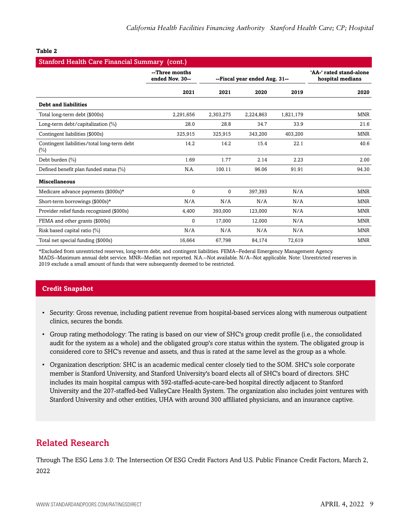| <b>Stanford Health Care Financial Summary (cont.)</b> |                                   |                               |           |                                             |            |
|-------------------------------------------------------|-----------------------------------|-------------------------------|-----------|---------------------------------------------|------------|
|                                                       | --Three months<br>ended Nov. 30-- | --Fiscal year ended Aug. 31-- |           | 'AA-' rated stand-alone<br>hospital medians |            |
|                                                       | 2021                              | 2021                          | 2020      | 2019                                        | 2020       |
| <b>Debt and liabilities</b>                           |                                   |                               |           |                                             |            |
| Total long-term debt (\$000s)                         | 2,291,656                         | 2,303,275                     | 2,224,863 | 1,821,179                                   | <b>MNR</b> |
| Long-term debt/capitalization (%)                     | 28.0                              | 28.8                          | 34.7      | 33.9                                        | 21.6       |
| Contingent liabilities (\$000s)                       | 325,915                           | 325,915                       | 343,200   | 403,200                                     | <b>MNR</b> |
| Contingent liabilities/total long-term debt<br>$(\%)$ | 14.2                              | 14.2                          | 15.4      | 22.1                                        | 40.6       |
| Debt burden (%)                                       | 1.69                              | 1.77                          | 2.14      | 2.23                                        | 2.00       |
| Defined benefit plan funded status (%)                | N.A.                              | 100.11                        | 96.06     | 91.91                                       | 94.30      |
| <b>Miscellaneous</b>                                  |                                   |                               |           |                                             |            |
| Medicare advance payments $(\$000s)*$                 | $\mathbf{0}$                      | $\Omega$                      | 397.393   | N/A                                         | <b>MNR</b> |
| Short-term borrowings (\$000s)*                       | N/A                               | N/A                           | N/A       | N/A                                         | <b>MNR</b> |
| Provider relief funds recognized (\$000s)             | 4,400                             | 393,000                       | 123,000   | N/A                                         | <b>MNR</b> |
| FEMA and other grants (\$000s)                        | $\mathbf{0}$                      | 17,000                        | 12,000    | N/A                                         | <b>MNR</b> |
| Risk based capital ratio (%)                          | N/A                               | N/A                           | N/A       | N/A                                         | <b>MNR</b> |
| Total net special funding (\$000s)                    | 16.664                            | 67.798                        | 84.174    | 72.619                                      | <b>MNR</b> |

#### **Table 2**

\*Excluded from unrestricted reserves, long-term debt, and contingent liabilities. FEMA--Federal Emergency Management Agency. MADS--Maximum annual debt service. MNR--Median not reported. N.A.--Not available. N/A--Not applicable. Note: Unrestricted reserves in 2019 exclude a small amount of funds that were subsequently deemed to be restricted.

## **Credit Snapshot**

- Security: Gross revenue, including patient revenue from hospital-based services along with numerous outpatient clinics, secures the bonds.
- Group rating methodology: The rating is based on our view of SHC's group credit profile (i.e., the consolidated audit for the system as a whole) and the obligated group's core status within the system. The obligated group is considered core to SHC's revenue and assets, and thus is rated at the same level as the group as a whole.
- Organization description: SHC is an academic medical center closely tied to the SOM. SHC's sole corporate member is Stanford University, and Stanford University's board elects all of SHC's board of directors. SHC includes its main hospital campus with 592-staffed-acute-care-bed hospital directly adjacent to Stanford University and the 207-staffed-bed ValleyCare Health System. The organization also includes joint ventures with Stanford University and other entities, UHA with around 300 affiliated physicians, and an insurance captive.

## Related Research

Through The ESG Lens 3.0: The Intersection Of ESG Credit Factors And U.S. Public Finance Credit Factors, March 2, 2022